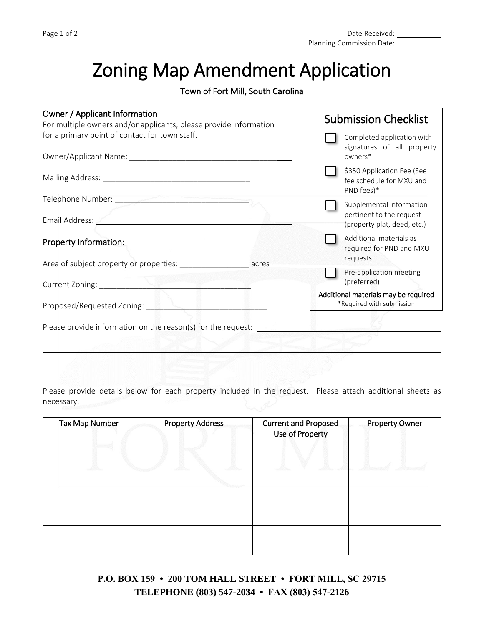## Zoning Map Amendment Application

## Town of Fort Mill, South Carolina

## Owner / Applicant Information

| Owner / Applicant Information<br>For multiple owners and/or applicants, please provide information                                      | <b>Submission Checklist</b>                                                         |
|-----------------------------------------------------------------------------------------------------------------------------------------|-------------------------------------------------------------------------------------|
| for a primary point of contact for town staff.                                                                                          | Completed application with<br>signatures of all property<br>owners*                 |
|                                                                                                                                         | \$350 Application Fee (See<br>fee schedule for MXU and<br>PND fees)*                |
| Email Address:<br><u>and the state of the state of the state of the state of the state of the state of the state of the state of th</u> | Supplemental information<br>pertinent to the request<br>(property plat, deed, etc.) |
| Property Information:                                                                                                                   | Additional materials as<br>required for PND and MXU<br>requests                     |
| Area of subject property or properties: and acrese acres<br>Current Zoning: National Assembly                                           | Pre-application meeting<br>(preferred)                                              |
| Proposed/Requested Zoning: _                                                                                                            | Additional materials may be required<br>*Required with submission                   |
| Please provide information on the reason(s) for the request:                                                                            |                                                                                     |
|                                                                                                                                         |                                                                                     |

Please provide details below for each property included in the request. Please attach additional sheets as necessary.

| Tax Map Number | <b>Property Address</b> | <b>Current and Proposed</b><br>Use of Property | <b>Property Owner</b> |
|----------------|-------------------------|------------------------------------------------|-----------------------|
|                |                         |                                                |                       |
|                |                         |                                                |                       |
|                |                         |                                                |                       |
|                |                         |                                                |                       |

**P.O. BOX 159 • 200 TOM HALL STREET • FORT MILL, SC 29715 TELEPHONE (803) 547-2034 • FAX (803) 547-2126**